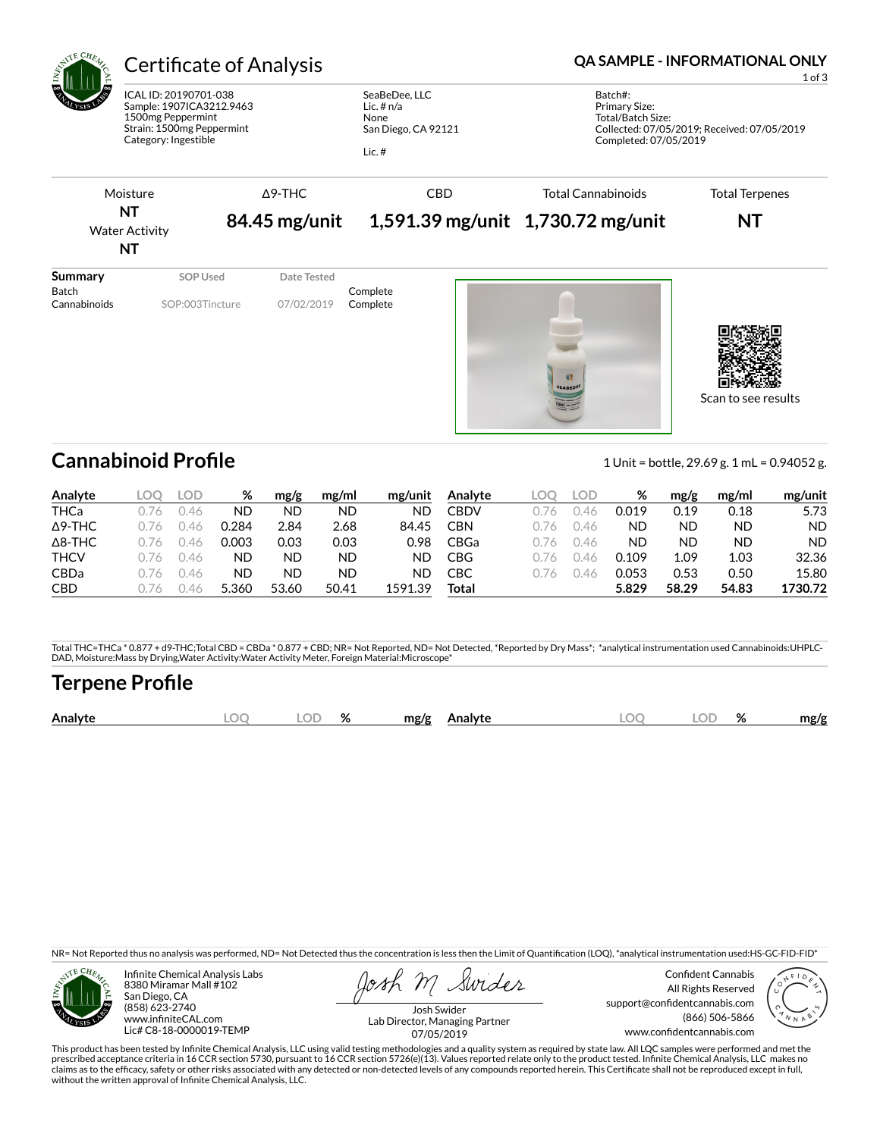

Cannabinoid Profile **Cannabinoid Profile** 1 Unit = bottle, 29.69 g. 1 mL = 0.94052 g.

Scan to see results

| Analyte        | OC      | LOD | ℅     | mg/g  | mg/ml | mg/unit | Analyte    | LOC | LOD | %     | mg/g  | mg/ml | mg/unit   |
|----------------|---------|-----|-------|-------|-------|---------|------------|-----|-----|-------|-------|-------|-----------|
| THCa           | 16      | 46  | ND    | ΝD    | ND    | ND      | CBDV       | 1/6 | 46  | 0.019 | 0.19  | 0.18  | 5.73      |
| $\Delta$ 9-THC | /6      | 146 | 0.284 | 2.84  | 2.68  | 84.45   | <b>CBN</b> | 1/6 | 46  | ΝC    | ND    | ND    | <b>ND</b> |
| $\Delta$ 8-THC | /6      | 46  | 0.003 | 0.03  | 0.03  | 0.98    | CBGa       | 1/6 | 146 | ND    | ΝD    | ND    | <b>ND</b> |
| <b>THCV</b>    | 1/6     | 146 | ND    | ND    | ND    | ND      | CBG        | 1/6 | 46  | 0.109 | 1.09  | 1.03  | 32.36     |
| <b>CBDa</b>    | $.16 -$ | 46  | ND    | ΝD    | ND    | ND      | СВС        | 176 | 46  | 0.053 | 0.53  | 0.50  | 15.80     |
| <b>CBD</b>     | .16     | 46  | 5.360 | 53.60 | 50.41 | 1591.39 | Total      |     |     | 5.829 | 58.29 | 54.83 | 1730.72   |

Total THC=THCa \* 0.877 + d9-THC;Total CBD = CBDa \* 0.877 + CBD; NR= Not Reported, ND= Not Detected, \*Reported by Dry Mass\*; \*analytical instrumentation used Cannabinoids:UHPLC-DAD, Moisture:Mass by Drying,Water Activity:Water Activity Meter, Foreign Material:Microscope\*

## **Terpene Profile**

|  | Analyte | м | $\sim$ $\sim$<br>اللساء | $\alpha$<br>% | mg/g<br>Analyte | $\Gamma$ | ור | OZ. | mg/g |
|--|---------|---|-------------------------|---------------|-----------------|----------|----|-----|------|
|--|---------|---|-------------------------|---------------|-----------------|----------|----|-----|------|

NR= Not Reported thus no analysis was performed, ND= Not Detected thus the concentration is less then the Limit of Quantification (LOQ), \*analytical instrumentation used:HS-GC-FID-FID\*



Infinite Chemical Analysis Labs 8380 Miramar Mall #102 San Diego, CA (858) 623-2740 www.infiniteCAL.com Lic# C8-18-0000019-TEMP

Swides

Confident Cannabis All Rights Reserved support@confidentcannabis.com (866) 506-5866 www.confidentcannabis.com



Josh Swider Lab Director, Managing Partner 07/05/2019

This product has been tested by Infinite Chemical Analysis, LLC using valid testing methodologies and a quality system as required by state law. All LQC samples were performed and met the prescribed acceptance criteria in 16 CCR section 5730, pursuant to 16 CCR section 5726(e)(13). Values reported relate only to the product tested. Infinite Chemical Analysis, LLC makes no<br>claims as to the efficacy, safety o without the written approval of Infinite Chemical Analysis, LLC.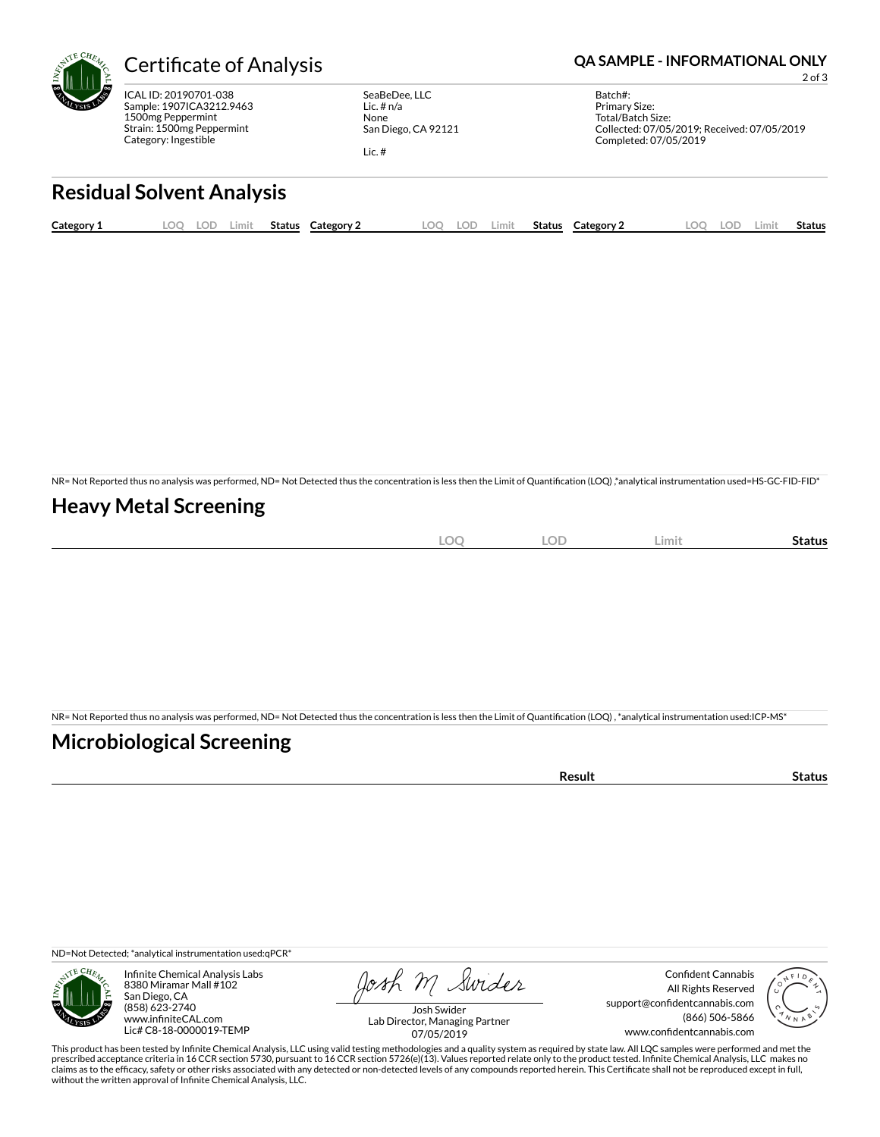

ICAL ID: 20190701-038 Sample: 1907ICA3212.9463 1500mg Peppermint Strain: 1500mg Peppermint Category: Ingestible

SeaBeDee, LLC Lic. # n/a None San Diego, CA 92121

Lic. #

Batch#:

Completed: 07/05/2019

Primary Size: Total/Batch Size: Collected: 07/05/2019; Received: 07/05/2019

2 of 3

**Residual Solvent Analysis**

| Category 1 | $\sim$ $\sim$ $\sim$<br>www. | LOD | Limit | <b>Status</b> | Category 2 | LOO | LOD | Limit | Status | Category 2 | nr<br>. w | LOD | ∟imi' | Status |
|------------|------------------------------|-----|-------|---------------|------------|-----|-----|-------|--------|------------|-----------|-----|-------|--------|
|            |                              |     |       |               |            |     |     |       |        |            |           |     |       |        |

NR= Not Reported thus no analysis was performed, ND= Not Detected thus the concentration is less then the Limit of Quantification (LOQ) ,\*analytical instrumentation used=HS-GC-FID-FID\*

## **Heavy Metal Screening**

|  |  | ے<br>ــ<br>-<br>$\sim$ | -<br>ы |  |  |
|--|--|------------------------|--------|--|--|
|--|--|------------------------|--------|--|--|

NR= Not Reported thus no analysis was performed, ND= Not Detected thus the concentration is less then the Limit of Quantification (LOQ), \*analytical instrumentation used:ICP-MS\*

#### **Microbiological Screening**

| oculi<br>uu<br>. |  |
|------------------|--|
|                  |  |

ND=Not Detected; \*analytical instrumentation used:qPCR\*



Infinite Chemical Analysis Labs 8380 Miramar Mall #102 San Diego, CA (858) 623-2740 www.infiniteCAL.com Lic# C8-18-0000019-TEMP

Josh M Swider

Confident Cannabis All Rights Reserved support@confidentcannabis.com (866) 506-5866 www.confidentcannabis.com



Josh Swider Lab Director, Managing Partner 07/05/2019

This product has been tested by Infinite Chemical Analysis, LLC using valid testing methodologies and a quality system as required by state law. All LQC samples were performed and met the prescribed acceptance criteria in 16 CCR section 5730, pursuant to 16 CCR section 5726(e)(13). Values reported relate only to the product tested. Infinite Chemical Analysis, LLC makes no<br>claims as to the efficacy, safety o without the written approval of Infinite Chemical Analysis, LLC.